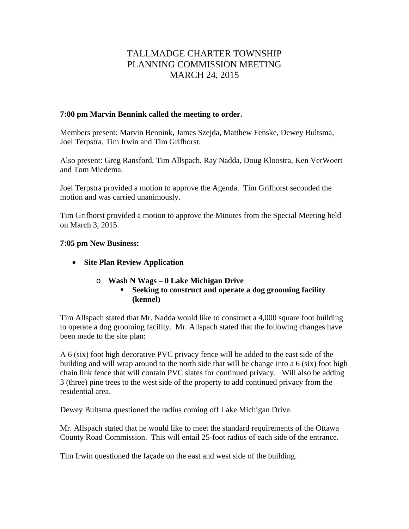# TALLMADGE CHARTER TOWNSHIP PLANNING COMMISSION MEETING MARCH 24, 2015

#### **7:00 pm Marvin Bennink called the meeting to order.**

Members present: Marvin Bennink, James Szejda, Matthew Fenske, Dewey Bultsma, Joel Terpstra, Tim Irwin and Tim Grifhorst.

Also present: Greg Ransford, Tim Allspach, Ray Nadda, Doug Kloostra, Ken VerWoert and Tom Miedema.

Joel Terpstra provided a motion to approve the Agenda. Tim Grifhorst seconded the motion and was carried unanimously.

Tim Grifhorst provided a motion to approve the Minutes from the Special Meeting held on March 3, 2015.

### **7:05 pm New Business:**

- **Site Plan Review Application** 
	- o **Wash N Wags 0 Lake Michigan Drive** 
		- **Seeking to construct and operate a dog grooming facility (kennel)**

Tim Allspach stated that Mr. Nadda would like to construct a 4,000 square foot building to operate a dog grooming facility. Mr. Allspach stated that the following changes have been made to the site plan:

A 6 (six) foot high decorative PVC privacy fence will be added to the east side of the building and will wrap around to the north side that will be change into a 6 (six) foot high chain link fence that will contain PVC slates for continued privacy. Will also be adding 3 (three) pine trees to the west side of the property to add continued privacy from the residential area.

Dewey Bultsma questioned the radius coming off Lake Michigan Drive.

Mr. Allspach stated that he would like to meet the standard requirements of the Ottawa County Road Commission. This will entail 25-foot radius of each side of the entrance.

Tim Irwin questioned the façade on the east and west side of the building.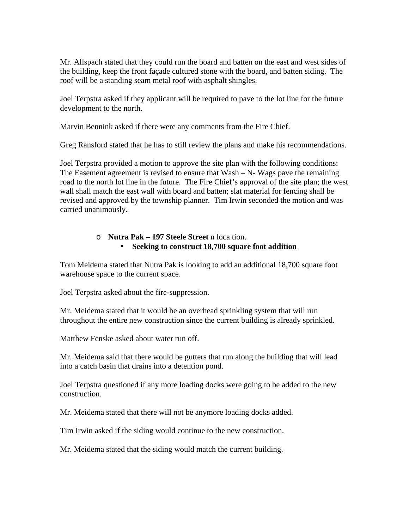Mr. Allspach stated that they could run the board and batten on the east and west sides of the building, keep the front façade cultured stone with the board, and batten siding. The roof will be a standing seam metal roof with asphalt shingles.

Joel Terpstra asked if they applicant will be required to pave to the lot line for the future development to the north.

Marvin Bennink asked if there were any comments from the Fire Chief.

Greg Ransford stated that he has to still review the plans and make his recommendations.

Joel Terpstra provided a motion to approve the site plan with the following conditions: The Easement agreement is revised to ensure that Wash – N- Wags pave the remaining road to the north lot line in the future. The Fire Chief's approval of the site plan; the west wall shall match the east wall with board and batten; slat material for fencing shall be revised and approved by the township planner. Tim Irwin seconded the motion and was carried unanimously.

# o **Nutra Pak – 197 Steele Street** n loca tion. **Seeking to construct 18,700 square foot addition**

Tom Meidema stated that Nutra Pak is looking to add an additional 18,700 square foot warehouse space to the current space.

Joel Terpstra asked about the fire-suppression.

Mr. Meidema stated that it would be an overhead sprinkling system that will run throughout the entire new construction since the current building is already sprinkled.

Matthew Fenske asked about water run off.

Mr. Meidema said that there would be gutters that run along the building that will lead into a catch basin that drains into a detention pond.

Joel Terpstra questioned if any more loading docks were going to be added to the new construction.

Mr. Meidema stated that there will not be anymore loading docks added.

Tim Irwin asked if the siding would continue to the new construction.

Mr. Meidema stated that the siding would match the current building.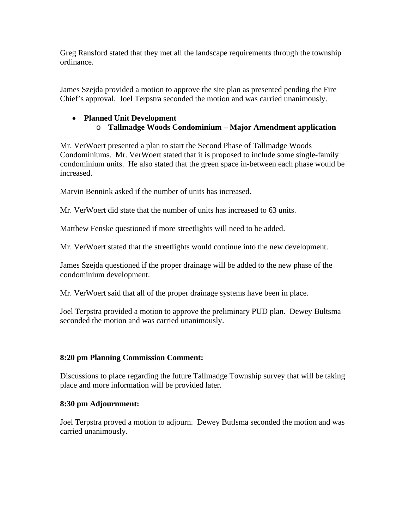Greg Ransford stated that they met all the landscape requirements through the township ordinance.

James Szejda provided a motion to approve the site plan as presented pending the Fire Chief's approval. Joel Terpstra seconded the motion and was carried unanimously.

# **Planned Unit Development**  o **Tallmadge Woods Condominium – Major Amendment application**

Mr. VerWoert presented a plan to start the Second Phase of Tallmadge Woods Condominiums. Mr. VerWoert stated that it is proposed to include some single-family condominium units. He also stated that the green space in-between each phase would be increased.

Marvin Bennink asked if the number of units has increased.

Mr. VerWoert did state that the number of units has increased to 63 units.

Matthew Fenske questioned if more streetlights will need to be added.

Mr. VerWoert stated that the streetlights would continue into the new development.

James Szejda questioned if the proper drainage will be added to the new phase of the condominium development.

Mr. VerWoert said that all of the proper drainage systems have been in place.

Joel Terpstra provided a motion to approve the preliminary PUD plan. Dewey Bultsma seconded the motion and was carried unanimously.

# **8:20 pm Planning Commission Comment:**

Discussions to place regarding the future Tallmadge Township survey that will be taking place and more information will be provided later.

#### **8:30 pm Adjournment:**

Joel Terpstra proved a motion to adjourn. Dewey Butlsma seconded the motion and was carried unanimously.